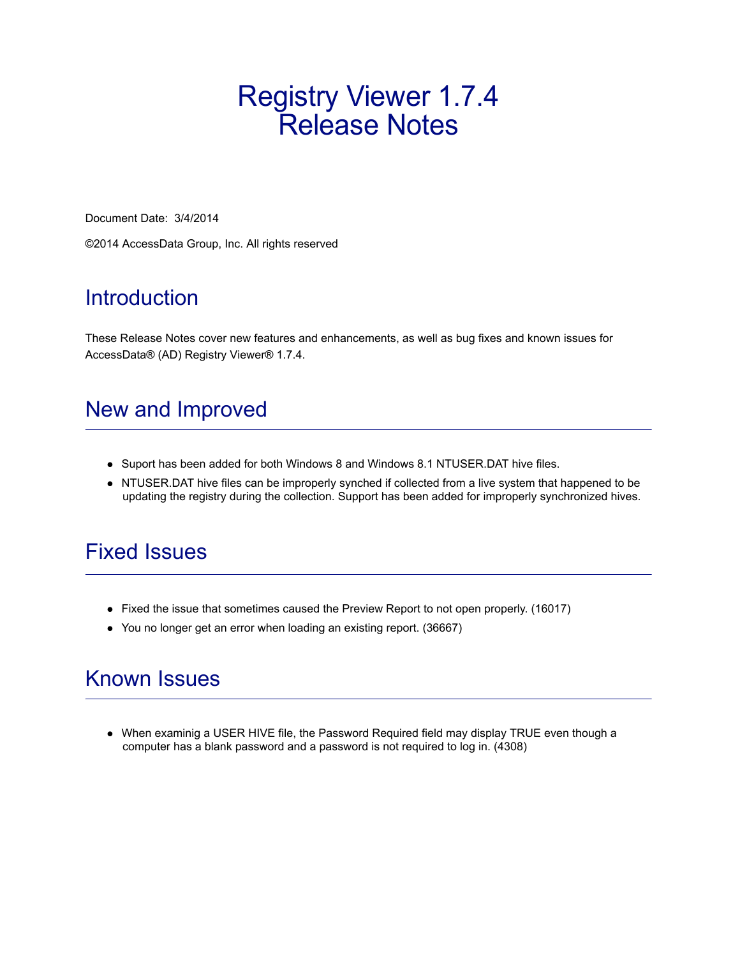## Registry Viewer 1.7.4 Release Notes

Document Date: 3/4/2014

©2014 AccessData Group, Inc. All rights reserved

#### Introduction

These Release Notes cover new features and enhancements, as well as bug fixes and known issues for AccessData® (AD) Registry Viewer® 1.7.4.

#### New and Improved

- Suport has been added for both Windows 8 and Windows 8.1 NTUSER.DAT hive files.
- NTUSER.DAT hive files can be improperly synched if collected from a live system that happened to be updating the registry during the collection. Support has been added for improperly synchronized hives.

#### Fixed Issues

- Fixed the issue that sometimes caused the Preview Report to not open properly. (16017)
- You no longer get an error when loading an existing report. (36667)

#### Known Issues

When examinig a USER HIVE file, the Password Required field may display TRUE even though a computer has a blank password and a password is not required to log in. (4308)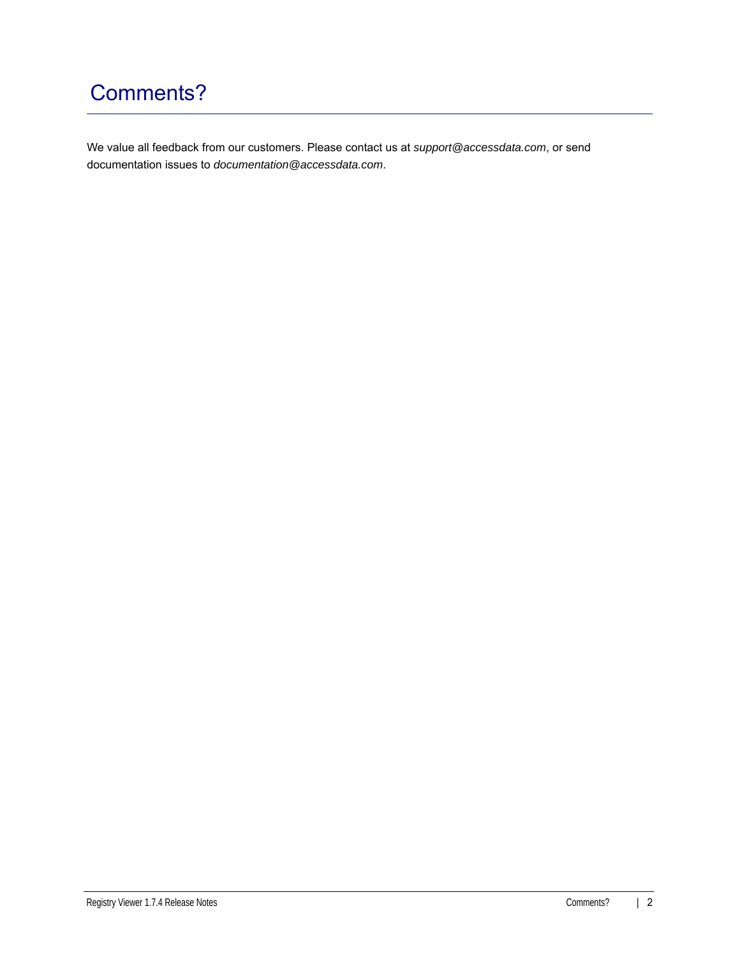## Comments?

We value all feedback from our customers. Please contact us at *support@accessdata.com*, or send documentation issues to *documentation@accessdata.com*.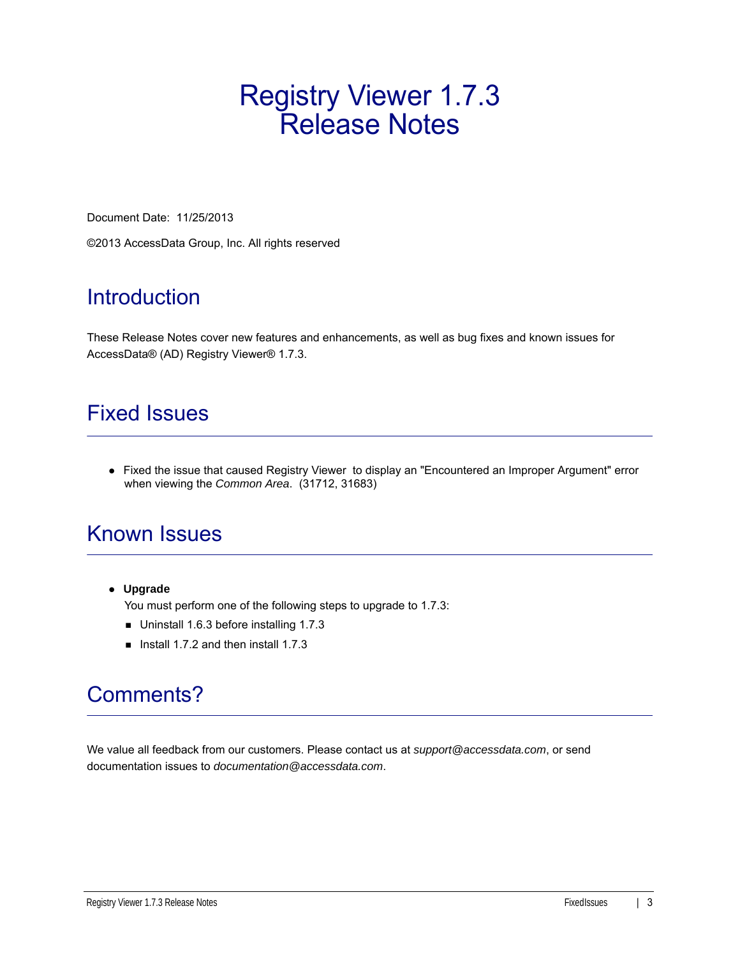# Registry Viewer 1.7.3 Release Notes

Document Date: 11/25/2013

©2013 AccessData Group, Inc. All rights reserved

### **Introduction**

These Release Notes cover new features and enhancements, as well as bug fixes and known issues for AccessData® (AD) Registry Viewer® 1.7.3.

#### Fixed Issues

• Fixed the issue that caused Registry Viewer to display an "Encountered an Improper Argument" error when viewing the *Common Area*. (31712, 31683)

### Known Issues

**Upgrade**

You must perform one of the following steps to upgrade to 1.7.3:

- Uninstall 1.6.3 before installing 1.7.3
- Install 1.7.2 and then install 1.7.3

## Comments?

We value all feedback from our customers. Please contact us at *support@accessdata.com*, or send documentation issues to *documentation@accessdata.com*.